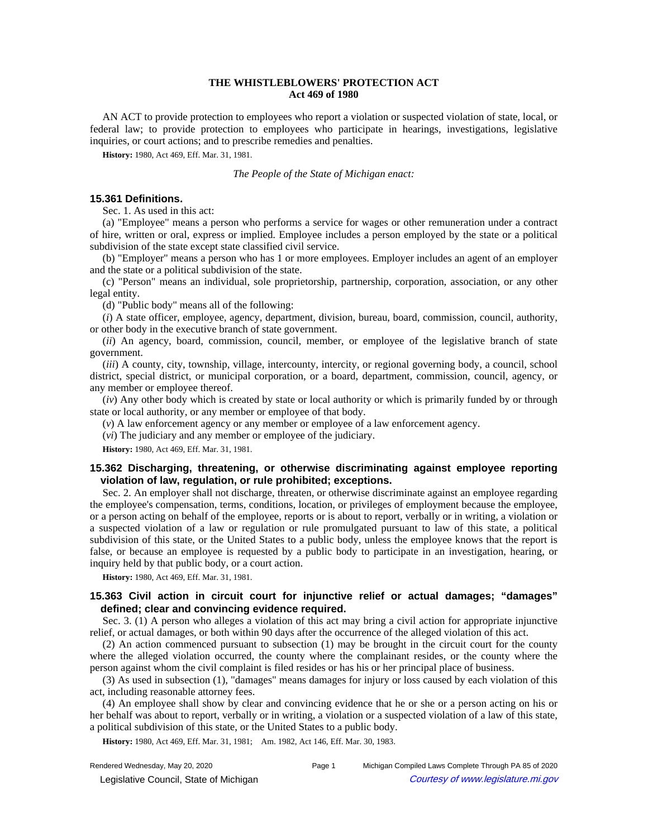## **THE WHISTLEBLOWERS' PROTECTION ACT Act 469 of 1980**

AN ACT to provide protection to employees who report a violation or suspected violation of state, local, or federal law; to provide protection to employees who participate in hearings, investigations, legislative inquiries, or court actions; and to prescribe remedies and penalties.

**History:** 1980, Act 469, Eff. Mar. 31, 1981.

#### *The People of the State of Michigan enact:*

### **15.361 Definitions.**

Sec. 1. As used in this act:

(a) "Employee" means a person who performs a service for wages or other remuneration under a contract of hire, written or oral, express or implied. Employee includes a person employed by the state or a political subdivision of the state except state classified civil service.

(b) "Employer" means a person who has 1 or more employees. Employer includes an agent of an employer and the state or a political subdivision of the state.

(c) "Person" means an individual, sole proprietorship, partnership, corporation, association, or any other legal entity.

(d) "Public body" means all of the following:

(*i*) A state officer, employee, agency, department, division, bureau, board, commission, council, authority, or other body in the executive branch of state government.

(*ii*) An agency, board, commission, council, member, or employee of the legislative branch of state government.

(*iii*) A county, city, township, village, intercounty, intercity, or regional governing body, a council, school district, special district, or municipal corporation, or a board, department, commission, council, agency, or any member or employee thereof.

(*iv*) Any other body which is created by state or local authority or which is primarily funded by or through state or local authority, or any member or employee of that body.

(*v*) A law enforcement agency or any member or employee of a law enforcement agency.

(*vi*) The judiciary and any member or employee of the judiciary.

**History:** 1980, Act 469, Eff. Mar. 31, 1981.

# **15.362 Discharging, threatening, or otherwise discriminating against employee reporting violation of law, regulation, or rule prohibited; exceptions.**

Sec. 2. An employer shall not discharge, threaten, or otherwise discriminate against an employee regarding the employee's compensation, terms, conditions, location, or privileges of employment because the employee, or a person acting on behalf of the employee, reports or is about to report, verbally or in writing, a violation or a suspected violation of a law or regulation or rule promulgated pursuant to law of this state, a political subdivision of this state, or the United States to a public body, unless the employee knows that the report is false, or because an employee is requested by a public body to participate in an investigation, hearing, or inquiry held by that public body, or a court action.

**History:** 1980, Act 469, Eff. Mar. 31, 1981.

# **15.363 Civil action in circuit court for injunctive relief or actual damages; "damages" defined; clear and convincing evidence required.**

Sec. 3. (1) A person who alleges a violation of this act may bring a civil action for appropriate injunctive relief, or actual damages, or both within 90 days after the occurrence of the alleged violation of this act.

(2) An action commenced pursuant to subsection (1) may be brought in the circuit court for the county where the alleged violation occurred, the county where the complainant resides, or the county where the person against whom the civil complaint is filed resides or has his or her principal place of business.

(3) As used in subsection (1), "damages" means damages for injury or loss caused by each violation of this act, including reasonable attorney fees.

(4) An employee shall show by clear and convincing evidence that he or she or a person acting on his or her behalf was about to report, verbally or in writing, a violation or a suspected violation of a law of this state, a political subdivision of this state, or the United States to a public body.

**History:** 1980, Act 469, Eff. Mar. 31, 1981;-- Am. 1982, Act 146, Eff. Mar. 30, 1983.